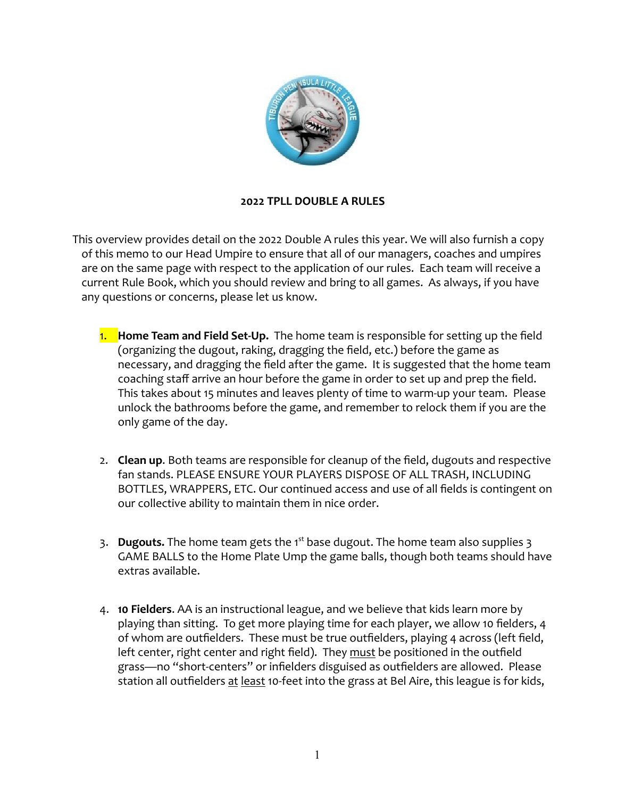

## **2022 TPLL DOUBLE A RULES**

This overview provides detail on the 2022 Double A rules this year. We will also furnish a copy of this memo to our Head Umpire to ensure that all of our managers, coaches and umpires are on the same page with respect to the application of our rules. Each team will receive a current Rule Book, which you should review and bring to all games. As always, if you have any questions or concerns, please let us know.

- 1. **Home Team and Field Set-Up.** The home team is responsible for setting up the field (organizing the dugout, raking, dragging the field, etc.) before the game as necessary, and dragging the field after the game. It is suggested that the home team coaching staff arrive an hour before the game in order to set up and prep the field. This takes about 15 minutes and leaves plenty of time to warm-up your team. Please unlock the bathrooms before the game, and remember to relock them if you are the only game of the day.
- 2. **Clean up**. Both teams are responsible for cleanup of the field, dugouts and respective fan stands. PLEASE ENSURE YOUR PLAYERS DISPOSE OF ALL TRASH, INCLUDING BOTTLES, WRAPPERS, ETC. Our continued access and use of all fields is contingent on our collective ability to maintain them in nice order.
- 3. **Dugouts.** The home team gets the 1<sup>st</sup> base dugout. The home team also supplies 3 GAME BALLS to the Home Plate Ump the game balls, though both teams should have extras available.
- 4. **10 Fielders**. AA is an instructional league, and we believe that kids learn more by playing than sitting. To get more playing time for each player, we allow 10 fielders, 4 of whom are outfielders. These must be true outfielders, playing 4 across (left field, left center, right center and right field). They must be positioned in the outfield grass—no "short-centers" or infielders disguised as outfielders are allowed. Please station all outfielders at least 10-feet into the grass at Bel Aire, this league is for kids,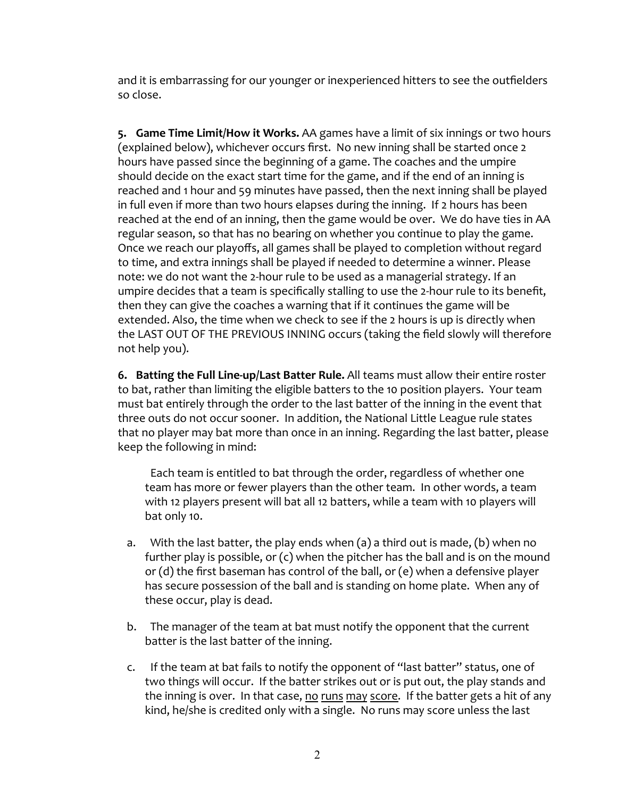and it is embarrassing for our younger or inexperienced hitters to see the outfielders so close.

**5. Game Time Limit/How it Works.** AA games have a limit of six innings or two hours (explained below), whichever occurs first. No new inning shall be started once 2 hours have passed since the beginning of a game. The coaches and the umpire should decide on the exact start time for the game, and if the end of an inning is reached and 1 hour and 59 minutes have passed, then the next inning shall be played in full even if more than two hours elapses during the inning. If 2 hours has been reached at the end of an inning, then the game would be over. We do have ties in AA regular season, so that has no bearing on whether you continue to play the game. Once we reach our playoffs, all games shall be played to completion without regard to time, and extra innings shall be played if needed to determine a winner. Please note: we do not want the 2-hour rule to be used as a managerial strategy. If an umpire decides that a team is specifically stalling to use the 2-hour rule to its benefit, then they can give the coaches a warning that if it continues the game will be extended. Also, the time when we check to see if the 2 hours is up is directly when the LAST OUT OF THE PREVIOUS INNING occurs (taking the field slowly will therefore not help you).

**6. Batting the Full Line-up/Last Batter Rule.** All teams must allow their entire roster to bat, rather than limiting the eligible batters to the 10 position players. Your team must bat entirely through the order to the last batter of the inning in the event that three outs do not occur sooner. In addition, the National Little League rule states that no player may bat more than once in an inning. Regarding the last batter, please keep the following in mind:

Each team is entitled to bat through the order, regardless of whether one team has more or fewer players than the other team. In other words, a team with 12 players present will bat all 12 batters, while a team with 10 players will bat only 10.

- a. With the last batter, the play ends when (a) a third out is made, (b) when no further play is possible, or  $(c)$  when the pitcher has the ball and is on the mound or (d) the first baseman has control of the ball, or (e) when a defensive player has secure possession of the ball and is standing on home plate. When any of these occur, play is dead.
- b. The manager of the team at bat must notify the opponent that the current batter is the last batter of the inning.
- c. If the team at bat fails to notify the opponent of "last batter" status, one of two things will occur. If the batter strikes out or is put out, the play stands and the inning is over. In that case, no runs may score. If the batter gets a hit of any kind, he/she is credited only with a single. No runs may score unless the last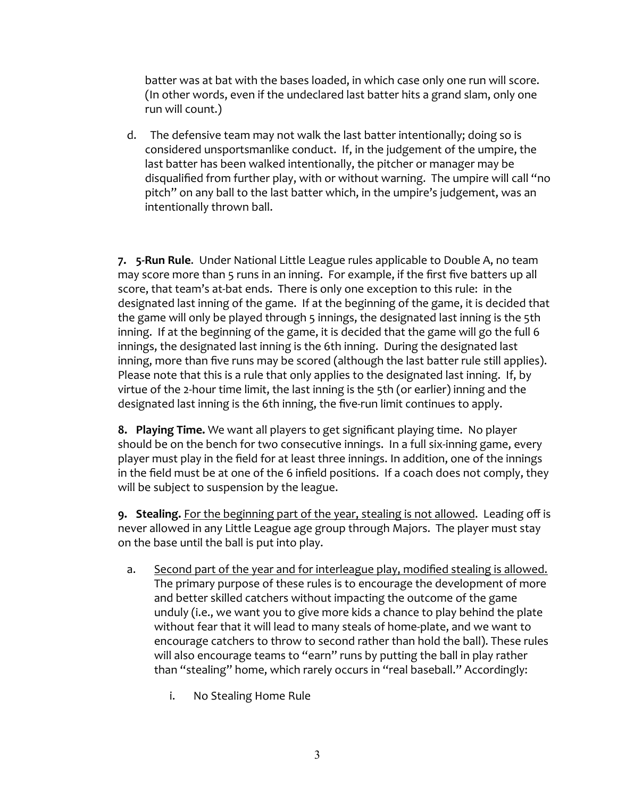batter was at bat with the bases loaded, in which case only one run will score. (In other words, even if the undeclared last batter hits a grand slam, only one run will count.)

d. The defensive team may not walk the last batter intentionally; doing so is considered unsportsmanlike conduct. If, in the judgement of the umpire, the last batter has been walked intentionally, the pitcher or manager may be disqualified from further play, with or without warning. The umpire will call "no pitch" on any ball to the last batter which, in the umpire's judgement, was an intentionally thrown ball.

**7. 5-Run Rule**. Under National Little League rules applicable to Double A, no team may score more than 5 runs in an inning. For example, if the first five batters up all score, that team's at-bat ends. There is only one exception to this rule: in the designated last inning of the game. If at the beginning of the game, it is decided that the game will only be played through 5 innings, the designated last inning is the 5th inning. If at the beginning of the game, it is decided that the game will go the full 6 innings, the designated last inning is the 6th inning. During the designated last inning, more than five runs may be scored (although the last batter rule still applies). Please note that this is a rule that only applies to the designated last inning. If, by virtue of the 2-hour time limit, the last inning is the 5th (or earlier) inning and the designated last inning is the 6th inning, the five-run limit continues to apply.

**8. Playing Time.** We want all players to get significant playing time. No player should be on the bench for two consecutive innings. In a full six-inning game, every player must play in the field for at least three innings. In addition, one of the innings in the field must be at one of the 6 infield positions. If a coach does not comply, they will be subject to suspension by the league.

**9. Stealing.** For the beginning part of the year, stealing is not allowed. Leading off is never allowed in any Little League age group through Majors. The player must stay on the base until the ball is put into play.

- a. Second part of the year and for interleague play, modified stealing is allowed. The primary purpose of these rules is to encourage the development of more and better skilled catchers without impacting the outcome of the game unduly (i.e., we want you to give more kids a chance to play behind the plate without fear that it will lead to many steals of home-plate, and we want to encourage catchers to throw to second rather than hold the ball). These rules will also encourage teams to "earn" runs by putting the ball in play rather than "stealing" home, which rarely occurs in "real baseball." Accordingly:
	- i. No Stealing Home Rule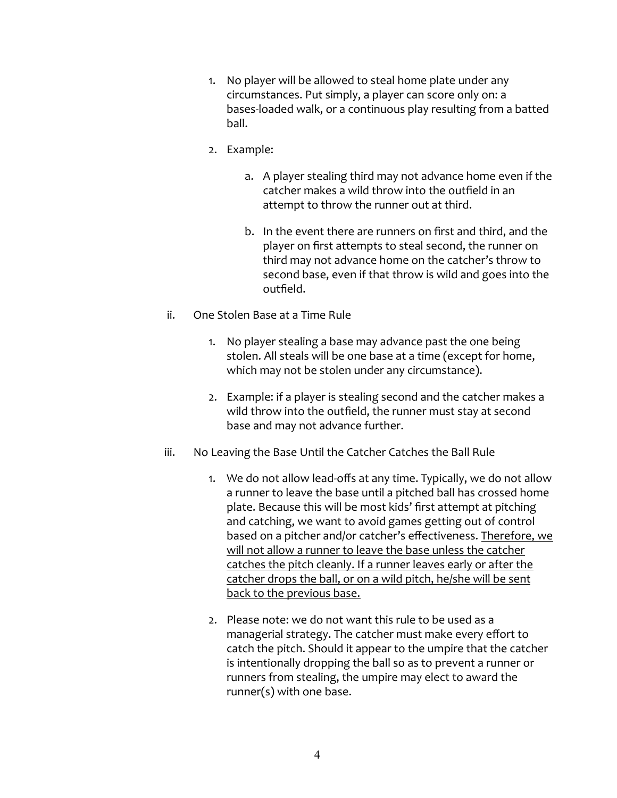- 1. No player will be allowed to steal home plate under any circumstances. Put simply, a player can score only on: a bases-loaded walk, or a continuous play resulting from a batted ball.
- 2. Example:
	- a. A player stealing third may not advance home even if the catcher makes a wild throw into the outfield in an attempt to throw the runner out at third.
	- b. In the event there are runners on first and third, and the player on first attempts to steal second, the runner on third may not advance home on the catcher's throw to second base, even if that throw is wild and goes into the outfield.
- ii. One Stolen Base at a Time Rule
	- 1. No player stealing a base may advance past the one being stolen. All steals will be one base at a time (except for home, which may not be stolen under any circumstance).
	- 2. Example: if a player is stealing second and the catcher makes a wild throw into the outfield, the runner must stay at second base and may not advance further.
- iii. No Leaving the Base Until the Catcher Catches the Ball Rule
	- 1. We do not allow lead-offs at any time. Typically, we do not allow a runner to leave the base until a pitched ball has crossed home plate. Because this will be most kids' first attempt at pitching and catching, we want to avoid games getting out of control based on a pitcher and/or catcher's effectiveness. Therefore, we will not allow a runner to leave the base unless the catcher catches the pitch cleanly. If a runner leaves early or after the catcher drops the ball, or on a wild pitch, he/she will be sent back to the previous base.
	- 2. Please note: we do not want this rule to be used as a managerial strategy. The catcher must make every effort to catch the pitch. Should it appear to the umpire that the catcher is intentionally dropping the ball so as to prevent a runner or runners from stealing, the umpire may elect to award the runner(s) with one base.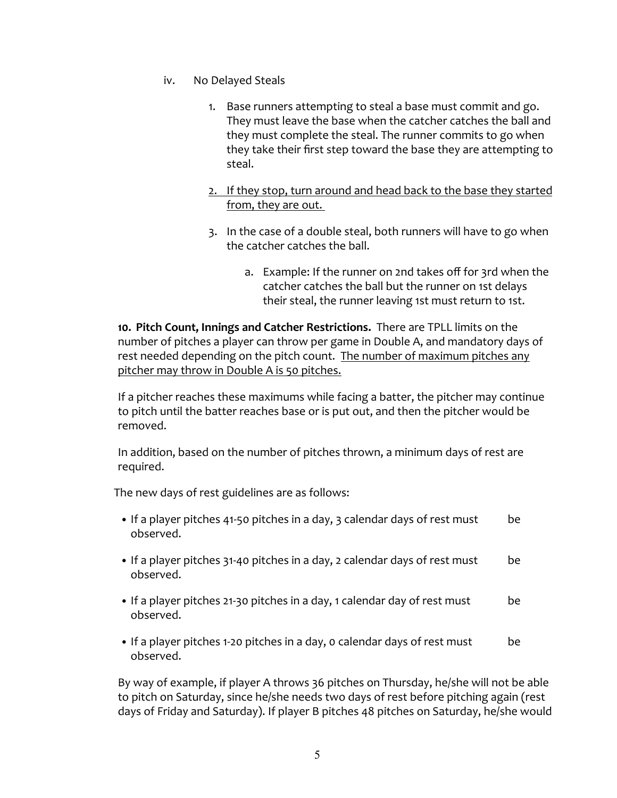- iv. No Delayed Steals
	- 1. Base runners attempting to steal a base must commit and go. They must leave the base when the catcher catches the ball and they must complete the steal. The runner commits to go when they take their first step toward the base they are attempting to steal.
	- 2. If they stop, turn around and head back to the base they started from, they are out.
	- 3. In the case of a double steal, both runners will have to go when the catcher catches the ball.
		- a. Example: If the runner on 2nd takes off for 3rd when the catcher catches the ball but the runner on 1st delays their steal, the runner leaving 1st must return to 1st.

**10. Pitch Count, Innings and Catcher Restrictions.** There are TPLL limits on the number of pitches a player can throw per game in Double A, and mandatory days of rest needed depending on the pitch count. The number of maximum pitches any pitcher may throw in Double A is 50 pitches.

If a pitcher reaches these maximums while facing a batter, the pitcher may continue to pitch until the batter reaches base or is put out, and then the pitcher would be removed.

In addition, based on the number of pitches thrown, a minimum days of rest are required.

The new days of rest guidelines are as follows:

- If a player pitches 41-50 pitches in a day, 3 calendar days of rest must be observed.
- If a player pitches 31-40 pitches in a day, 2 calendar days of rest must be observed.
- If a player pitches 21-30 pitches in a day, 1 calendar day of rest must be observed.
- If a player pitches 1-20 pitches in a day, 0 calendar days of rest must be observed.

By way of example, if player A throws 36 pitches on Thursday, he/she will not be able to pitch on Saturday, since he/she needs two days of rest before pitching again (rest days of Friday and Saturday). If player B pitches 48 pitches on Saturday, he/she would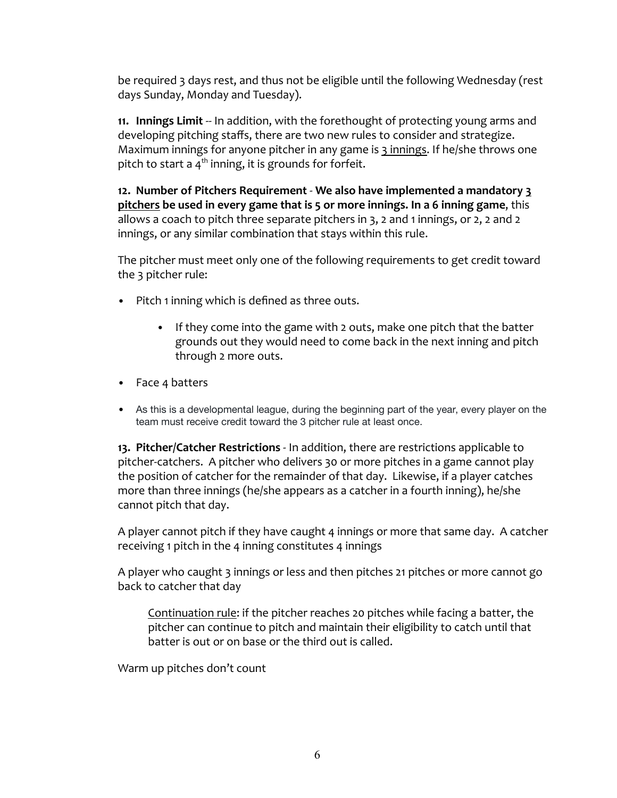be required 3 days rest, and thus not be eligible until the following Wednesday (rest days Sunday, Monday and Tuesday).

**11. Innings Limit** -- In addition, with the forethought of protecting young arms and developing pitching staffs, there are two new rules to consider and strategize. Maximum innings for anyone pitcher in any game is 3 innings. If he/she throws one pitch to start a 4<sup>th</sup> inning, it is grounds for forfeit.

**12. Number of Pitchers Requirement** - **We also have implemented a mandatory 3 pitchers be used in every game that is 5 or more innings. In a 6 inning game**, this allows a coach to pitch three separate pitchers in 3, 2 and 1 innings, or 2, 2 and 2 innings, or any similar combination that stays within this rule.

The pitcher must meet only one of the following requirements to get credit toward the 3 pitcher rule:

- Pitch 1 inning which is defined as three outs.
	- If they come into the game with 2 outs, make one pitch that the batter grounds out they would need to come back in the next inning and pitch through 2 more outs.
- Face 4 batters
- As this is a developmental league, during the beginning part of the year, every player on the team must receive credit toward the 3 pitcher rule at least once.

**13. Pitcher/Catcher Restrictions** - In addition, there are restrictions applicable to pitcher-catchers. A pitcher who delivers 30 or more pitches in a game cannot play the position of catcher for the remainder of that day. Likewise, if a player catches more than three innings (he/she appears as a catcher in a fourth inning), he/she cannot pitch that day.

A player cannot pitch if they have caught 4 innings or more that same day. A catcher receiving 1 pitch in the 4 inning constitutes 4 innings

A player who caught 3 innings or less and then pitches 21 pitches or more cannot go back to catcher that day

Continuation rule: if the pitcher reaches 20 pitches while facing a batter, the pitcher can continue to pitch and maintain their eligibility to catch until that batter is out or on base or the third out is called.

Warm up pitches don't count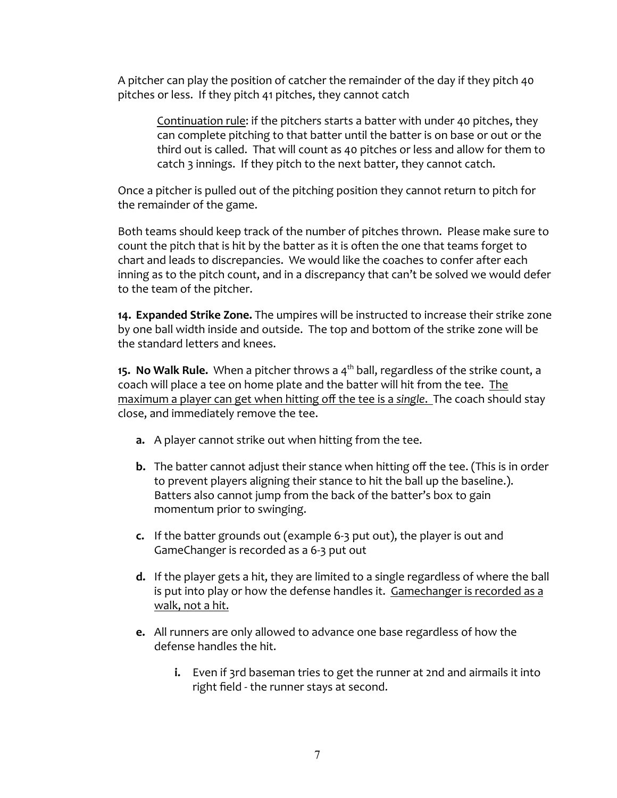A pitcher can play the position of catcher the remainder of the day if they pitch 40 pitches or less. If they pitch 41 pitches, they cannot catch

Continuation rule: if the pitchers starts a batter with under 40 pitches, they can complete pitching to that batter until the batter is on base or out or the third out is called. That will count as 40 pitches or less and allow for them to catch 3 innings. If they pitch to the next batter, they cannot catch.

Once a pitcher is pulled out of the pitching position they cannot return to pitch for the remainder of the game.

Both teams should keep track of the number of pitches thrown. Please make sure to count the pitch that is hit by the batter as it is often the one that teams forget to chart and leads to discrepancies. We would like the coaches to confer after each inning as to the pitch count, and in a discrepancy that can't be solved we would defer to the team of the pitcher.

**14. Expanded Strike Zone.** The umpires will be instructed to increase their strike zone by one ball width inside and outside. The top and bottom of the strike zone will be the standard letters and knees.

**15. No Walk Rule.** When a pitcher throws a 4<sup>th</sup> ball, regardless of the strike count, a coach will place a tee on home plate and the batter will hit from the tee. The maximum a player can get when hitting off the tee is a *single*. The coach should stay close, and immediately remove the tee.

- **a.** A player cannot strike out when hitting from the tee.
- **b.** The batter cannot adjust their stance when hitting off the tee. (This is in order to prevent players aligning their stance to hit the ball up the baseline.). Batters also cannot jump from the back of the batter's box to gain momentum prior to swinging.
- **c.** If the batter grounds out (example 6-3 put out), the player is out and GameChanger is recorded as a 6-3 put out
- **d.** If the player gets a hit, they are limited to a single regardless of where the ball is put into play or how the defense handles it. Gamechanger is recorded as a walk, not a hit.
- **e.** All runners are only allowed to advance one base regardless of how the defense handles the hit.
	- **i.** Even if 3rd baseman tries to get the runner at 2nd and airmails it into right field - the runner stays at second.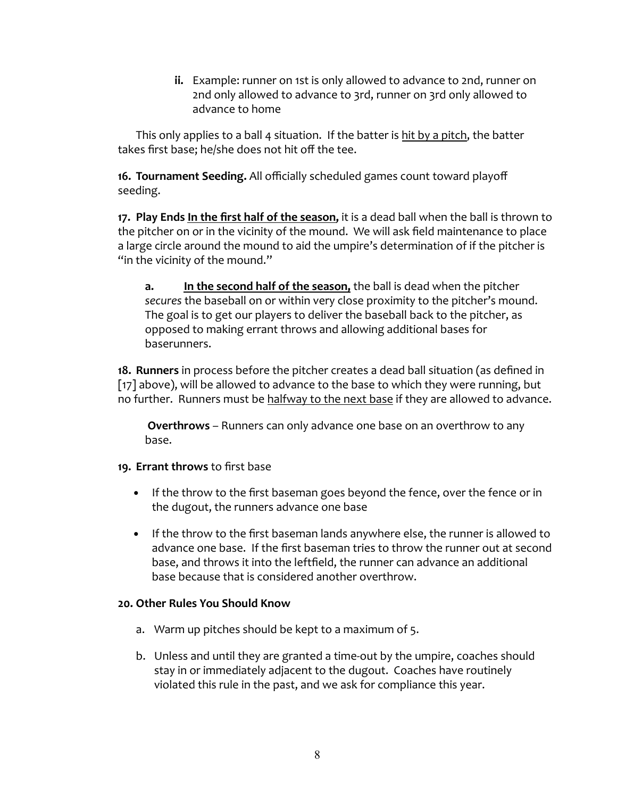**ii.** Example: runner on 1st is only allowed to advance to 2nd, runner on 2nd only allowed to advance to 3rd, runner on 3rd only allowed to advance to home

This only applies to a ball 4 situation. If the batter is hit by a pitch, the batter takes first base; he/she does not hit off the tee.

**16. Tournament Seeding.** All officially scheduled games count toward playoff seeding.

**17. Play Ends In the first half of the season,** it is a dead ball when the ball is thrown to the pitcher on or in the vicinity of the mound. We will ask field maintenance to place a large circle around the mound to aid the umpire's determination of if the pitcher is "in the vicinity of the mound."

**a. In the second half of the season,** the ball is dead when the pitcher *secures* the baseball on or within very close proximity to the pitcher's mound. The goal is to get our players to deliver the baseball back to the pitcher, as opposed to making errant throws and allowing additional bases for baserunners.

**18. Runners** in process before the pitcher creates a dead ball situation (as defined in [17] above), will be allowed to advance to the base to which they were running, but no further. Runners must be halfway to the next base if they are allowed to advance.

**Overthrows** – Runners can only advance one base on an overthrow to any base.

## **19. Errant throws** to first base

- **•** If the throw to the first baseman goes beyond the fence, over the fence or in the dugout, the runners advance one base
- **•** If the throw to the first baseman lands anywhere else, the runner is allowed to advance one base. If the first baseman tries to throw the runner out at second base, and throws it into the leftfield, the runner can advance an additional base because that is considered another overthrow.

## **20. Other Rules You Should Know**

- a. Warm up pitches should be kept to a maximum of 5.
- b. Unless and until they are granted a time-out by the umpire, coaches should stay in or immediately adjacent to the dugout. Coaches have routinely violated this rule in the past, and we ask for compliance this year.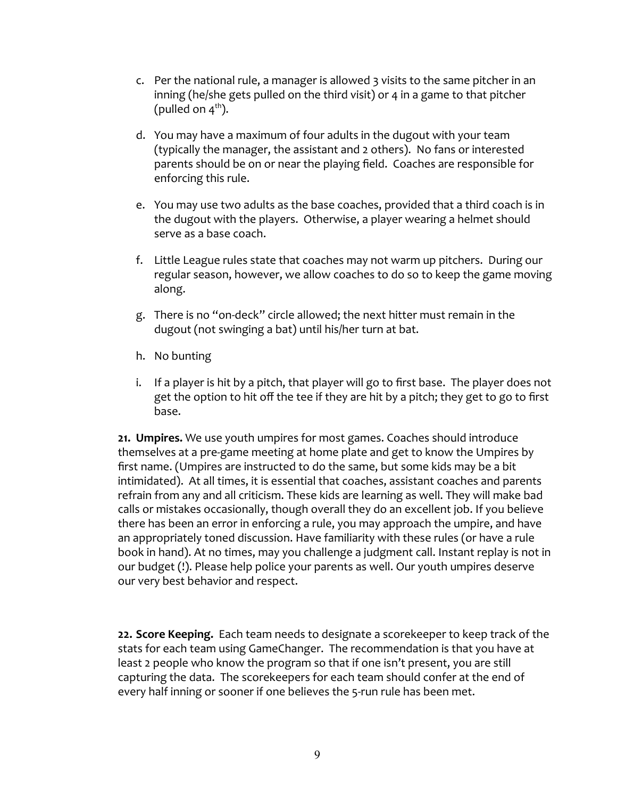- c. Per the national rule, a manager is allowed 3 visits to the same pitcher in an inning (he/she gets pulled on the third visit) or 4 in a game to that pitcher (pulled on 4<sup>th</sup>).
- d. You may have a maximum of four adults in the dugout with your team (typically the manager, the assistant and 2 others). No fans or interested parents should be on or near the playing field. Coaches are responsible for enforcing this rule.
- e. You may use two adults as the base coaches, provided that a third coach is in the dugout with the players. Otherwise, a player wearing a helmet should serve as a base coach.
- f. Little League rules state that coaches may not warm up pitchers. During our regular season, however, we allow coaches to do so to keep the game moving along.
- g. There is no "on-deck" circle allowed; the next hitter must remain in the dugout (not swinging a bat) until his/her turn at bat.
- h. No bunting
- i. If a player is hit by a pitch, that player will go to first base. The player does not get the option to hit off the tee if they are hit by a pitch; they get to go to first base.

**21. Umpires.** We use youth umpires for most games. Coaches should introduce themselves at a pre-game meeting at home plate and get to know the Umpires by first name. (Umpires are instructed to do the same, but some kids may be a bit intimidated). At all times, it is essential that coaches, assistant coaches and parents refrain from any and all criticism. These kids are learning as well. They will make bad calls or mistakes occasionally, though overall they do an excellent job. If you believe there has been an error in enforcing a rule, you may approach the umpire, and have an appropriately toned discussion. Have familiarity with these rules (or have a rule book in hand). At no times, may you challenge a judgment call. Instant replay is not in our budget (!). Please help police your parents as well. Our youth umpires deserve our very best behavior and respect.

**22. Score Keeping.** Each team needs to designate a scorekeeper to keep track of the stats for each team using GameChanger. The recommendation is that you have at least 2 people who know the program so that if one isn't present, you are still capturing the data. The scorekeepers for each team should confer at the end of every half inning or sooner if one believes the 5-run rule has been met.